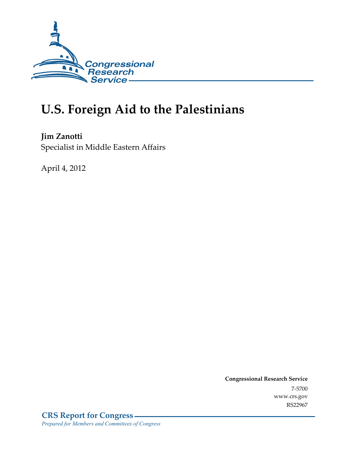

# **U.S. Foreign Aid to the Palestinians**

**Jim Zanotti**  Specialist in Middle Eastern Affairs

April 4, 2012

**Congressional Research Service**  7-5700 www.crs.gov RS22967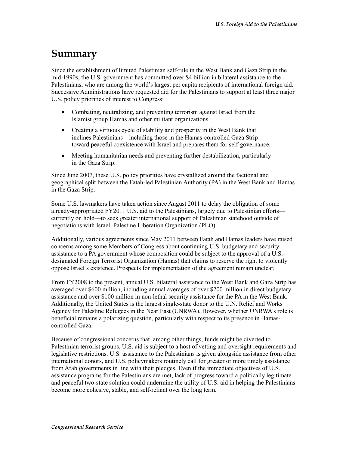# **Summary**

Since the establishment of limited Palestinian self-rule in the West Bank and Gaza Strip in the mid-1990s, the U.S. government has committed over \$4 billion in bilateral assistance to the Palestinians, who are among the world's largest per capita recipients of international foreign aid. Successive Administrations have requested aid for the Palestinians to support at least three major U.S. policy priorities of interest to Congress:

- Combating, neutralizing, and preventing terrorism against Israel from the Islamist group Hamas and other militant organizations.
- Creating a virtuous cycle of stability and prosperity in the West Bank that inclines Palestinians—including those in the Hamas-controlled Gaza Strip toward peaceful coexistence with Israel and prepares them for self-governance.
- Meeting humanitarian needs and preventing further destabilization, particularly in the Gaza Strip.

Since June 2007, these U.S. policy priorities have crystallized around the factional and geographical split between the Fatah-led Palestinian Authority (PA) in the West Bank and Hamas in the Gaza Strip.

Some U.S. lawmakers have taken action since August 2011 to delay the obligation of some already-appropriated FY2011 U.S. aid to the Palestinians, largely due to Palestinian efforts currently on hold—to seek greater international support of Palestinian statehood outside of negotiations with Israel. Palestine Liberation Organization (PLO).

Additionally, various agreements since May 2011 between Fatah and Hamas leaders have raised concerns among some Members of Congress about continuing U.S. budgetary and security assistance to a PA government whose composition could be subject to the approval of a U.S. designated Foreign Terrorist Organization (Hamas) that claims to reserve the right to violently oppose Israel's existence. Prospects for implementation of the agreement remain unclear.

From FY2008 to the present, annual U.S. bilateral assistance to the West Bank and Gaza Strip has averaged over \$600 million, including annual averages of over \$200 million in direct budgetary assistance and over \$100 million in non-lethal security assistance for the PA in the West Bank. Additionally, the United States is the largest single-state donor to the U.N. Relief and Works Agency for Palestine Refugees in the Near East (UNRWA). However, whether UNRWA's role is beneficial remains a polarizing question, particularly with respect to its presence in Hamascontrolled Gaza.

Because of congressional concerns that, among other things, funds might be diverted to Palestinian terrorist groups, U.S. aid is subject to a host of vetting and oversight requirements and legislative restrictions. U.S. assistance to the Palestinians is given alongside assistance from other international donors, and U.S. policymakers routinely call for greater or more timely assistance from Arab governments in line with their pledges. Even if the immediate objectives of U.S. assistance programs for the Palestinians are met, lack of progress toward a politically legitimate and peaceful two-state solution could undermine the utility of U.S. aid in helping the Palestinians become more cohesive, stable, and self-reliant over the long term.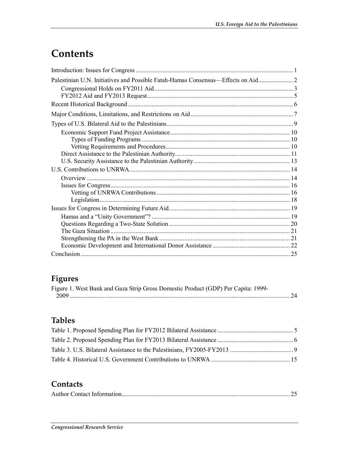# **Contents**

### **Figures**

|  | Figure 1. West Bank and Gaza Strip Gross Domestic Product (GDP) Per Capita: 1999- |  |
|--|-----------------------------------------------------------------------------------|--|
|  |                                                                                   |  |

### **Tables**

### **Contacts**

|--|--|--|--|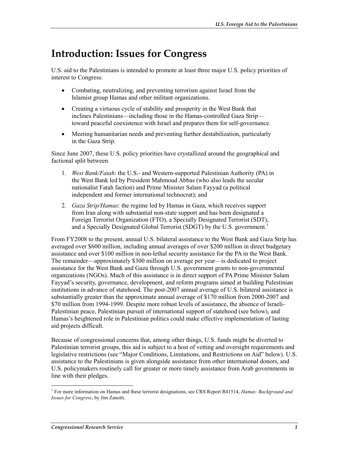# **Introduction: Issues for Congress**

U.S. aid to the Palestinians is intended to promote at least three major U.S. policy priorities of interest to Congress:

- Combating, neutralizing, and preventing terrorism against Israel from the Islamist group Hamas and other militant organizations.
- Creating a virtuous cycle of stability and prosperity in the West Bank that inclines Palestinians—including those in the Hamas-controlled Gaza Strip toward peaceful coexistence with Israel and prepares them for self-governance.
- Meeting humanitarian needs and preventing further destabilization, particularly in the Gaza Strip.

Since June 2007, these U.S. policy priorities have crystallized around the geographical and factional split between

- 1. *West Bank/Fatah*: the U.S.- and Western-supported Palestinian Authority (PA) in the West Bank led by President Mahmoud Abbas (who also leads the secular nationalist Fatah faction) and Prime Minister Salam Fayyad (a political independent and former international technocrat); and
- 2. *Gaza Strip/Hamas*: the regime led by Hamas in Gaza, which receives support from Iran along with substantial non-state support and has been designated a Foreign Terrorist Organization (FTO), a Specially Designated Terrorist (SDT), and a Specially Designated Global Terrorist (SDGT) by the U.S. government.<sup>1</sup>

From FY2008 to the present, annual U.S. bilateral assistance to the West Bank and Gaza Strip has averaged over \$600 million, including annual averages of over \$200 million in direct budgetary assistance and over \$100 million in non-lethal security assistance for the PA in the West Bank. The remainder—approximately \$300 million on average per year—is dedicated to project assistance for the West Bank and Gaza through U.S. government grants to non-governmental organizations (NGOs). Much of this assistance is in direct support of PA Prime Minister Salam Fayyad's security, governance, development, and reform programs aimed at building Palestinian institutions in advance of statehood. The post-2007 annual average of U.S. bilateral assistance is substantially greater than the approximate annual average of \$170 million from 2000-2007 and \$70 million from 1994-1999. Despite more robust levels of assistance, the absence of Israeli-Palestinian peace, Palestinian pursuit of international support of statehood (see below), and Hamas's heightened role in Palestinian politics could make effective implementation of lasting aid projects difficult.

Because of congressional concerns that, among other things, U.S. funds might be diverted to Palestinian terrorist groups, this aid is subject to a host of vetting and oversight requirements and legislative restrictions (see "Major Conditions, Limitations, and Restrictions on Aid" below). U.S. assistance to the Palestinians is given alongside assistance from other international donors, and U.S. policymakers routinely call for greater or more timely assistance from Arab governments in line with their pledges.

 1 For more information on Hamas and these terrorist designations, see CRS Report R41514, *Hamas: Background and Issues for Congress*, by Jim Zanotti.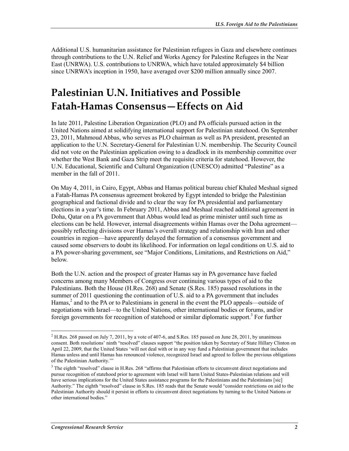Additional U.S. humanitarian assistance for Palestinian refugees in Gaza and elsewhere continues through contributions to the U.N. Relief and Works Agency for Palestine Refugees in the Near East (UNRWA). U.S. contributions to UNRWA, which have totaled approximately \$4 billion since UNRWA's inception in 1950, have averaged over \$200 million annually since 2007.

## **Palestinian U.N. Initiatives and Possible Fatah-Hamas Consensus—Effects on Aid**

In late 2011, Palestine Liberation Organization (PLO) and PA officials pursued action in the United Nations aimed at solidifying international support for Palestinian statehood. On September 23, 2011, Mahmoud Abbas, who serves as PLO chairman as well as PA president, presented an application to the U.N. Secretary-General for Palestinian U.N. membership. The Security Council did not vote on the Palestinian application owing to a deadlock in its membership committee over whether the West Bank and Gaza Strip meet the requisite criteria for statehood. However, the U.N. Educational, Scientific and Cultural Organization (UNESCO) admitted "Palestine" as a member in the fall of 2011.

On May 4, 2011, in Cairo, Egypt, Abbas and Hamas political bureau chief Khaled Meshaal signed a Fatah-Hamas PA consensus agreement brokered by Egypt intended to bridge the Palestinian geographical and factional divide and to clear the way for PA presidential and parliamentary elections in a year's time. In February 2011, Abbas and Meshaal reached additional agreement in Doha, Qatar on a PA government that Abbas would lead as prime minister until such time as elections can be held. However, internal disagreements within Hamas over the Doha agreement possibly reflecting divisions over Hamas's overall strategy and relationship with Iran and other countries in region—have apparently delayed the formation of a consensus government and caused some observers to doubt its likelihood. For information on legal conditions on U.S. aid to a PA power-sharing government, see "Major Conditions, Limitations, and Restrictions on Aid," below.

Both the U.N. action and the prospect of greater Hamas say in PA governance have fueled concerns among many Members of Congress over continuing various types of aid to the Palestinians. Both the House (H.Res. 268) and Senate (S.Res. 185) passed resolutions in the summer of 2011 questioning the continuation of U.S. aid to a PA government that includes Hamas,<sup>2</sup> and to the PA or to Palestinians in general in the event the PLO appeals—outside of negotiations with Israel—to the United Nations, other international bodies or forums, and/or foreign governments for recognition of statehood or similar diplomatic support.<sup>3</sup> For further

 $^2$  H.Res. 268 passed on July 7, 2011, by a vote of 407-6, and S.Res. 185 passed on June 28, 2011, by unanimous consent. Both resolutions' ninth "resolved" clauses support "the position taken by Secretary of State Hillary Clinton on April 22, 2009, that the United States 'will not deal with or in any way fund a Palestinian government that includes Hamas unless and until Hamas has renounced violence, recognized Israel and agreed to follow the previous obligations of the Palestinian Authority.'"

<sup>&</sup>lt;sup>3</sup> The eighth "resolved" clause in H.Res. 268 "affirms that Palestinian efforts to circumvent direct negotiations and pursue recognition of statehood prior to agreement with Israel will harm United States-Palestinian relations and will have serious implications for the United States assistance programs for the Palestinians and the Palestinians [sic] Authority." The eighth "resolved" clause in S.Res. 185 reads that the Senate would "consider restrictions on aid to the Palestinian Authority should it persist in efforts to circumvent direct negotiations by turning to the United Nations or other international bodies."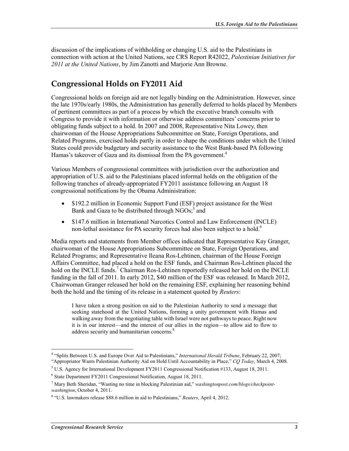discussion of the implications of withholding or changing U.S. aid to the Palestinians in connection with action at the United Nations, see CRS Report R42022, *Palestinian Initiatives for 2011 at the United Nations*, by Jim Zanotti and Marjorie Ann Browne.

#### **Congressional Holds on FY2011 Aid**

Congressional holds on foreign aid are not legally binding on the Administration. However, since the late 1970s/early 1980s, the Administration has generally deferred to holds placed by Members of pertinent committees as part of a process by which the executive branch consults with Congress to provide it with information or otherwise address committees' concerns prior to obligating funds subject to a hold. In 2007 and 2008, Representative Nita Lowey, then chairwoman of the House Appropriations Subcommittee on State, Foreign Operations, and Related Programs, exercised holds partly in order to shape the conditions under which the United States could provide budgetary and security assistance to the West Bank-based PA following Hamas's takeover of Gaza and its dismissal from the PA government.<sup>4</sup>

Various Members of congressional committees with jurisdiction over the authorization and appropriation of U.S. aid to the Palestinians placed informal holds on the obligation of the following tranches of already-appropriated FY2011 assistance following an August 18 congressional notifications by the Obama Administration:

- \$192.2 million in Economic Support Fund (ESF) project assistance for the West Bank and Gaza to be distributed through NGOs;<sup>5</sup> and
- \$147.6 million in International Narcotics Control and Law Enforcement (INCLE) non-lethal assistance for PA security forces had also been subject to a hold.<sup>6</sup>

Media reports and statements from Member offices indicated that Representative Kay Granger, chairwoman of the House Appropriations Subcommittee on State, Foreign Operations, and Related Programs; and Representative Ileana Ros-Lehtinen, chairman of the House Foreign Affairs Committee, had placed a hold on the ESF funds, and Chairman Ros-Lehtinen placed the hold on the INCLE funds.<sup>7</sup> Chairman Ros-Lehtinen reportedly released her hold on the INCLE funding in the fall of 2011. In early 2012, \$40 million of the ESF was released. In March 2012, Chairwoman Granger released her hold on the remaining ESF, explaining her reasoning behind both the hold and the timing of its release in a statement quoted by *Reuters*:

I have taken a strong position on aid to the Palestinian Authority to send a message that seeking statehood at the United Nations, forming a unity government with Hamas and walking away from the negotiating table with Israel were not pathways to peace. Right now it is in our interest—and the interest of our allies in the region—to allow aid to flow to address security and humanitarian concerns.<sup>8</sup>

 4 "Splits Between U.S. and Europe Over Aid to Palestinians," *International Herald Tribune*, February 22, 2007; "Appropriator Wants Palestinian Authority Aid on Hold Until Accountability in Place," *CQ Today*, March 4, 2008.

<sup>&</sup>lt;sup>5</sup> U.S. Agency for International Development FY2011 Congressional Notification #133, August 18, 2011.

<sup>6</sup> State Department FY2011 Congressional Notification, August 18, 2011.

<sup>7</sup> Mary Beth Sheridan, "Wasting no time in blocking Palestinian aid," *washingtonpost.com/blogs/checkpointwashington*, October 4, 2011.

<sup>8</sup> "U.S. lawmakers release \$88.6 million in aid to Palestinians," *Reuters*, April 4, 2012.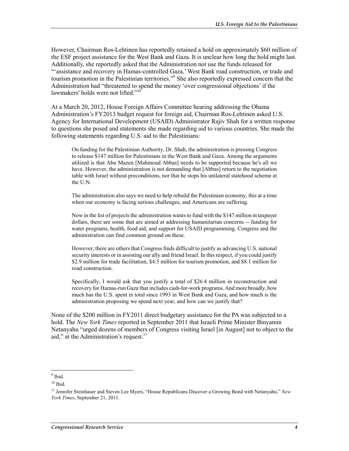However, Chairman Ros-Lehtinen has reportedly retained a hold on approximately \$60 million of the ESF project assistance for the West Bank and Gaza. It is unclear how long the hold might last. Additionally, she reportedly asked that the Administration not use the funds released for "'assistance and recovery in Hamas-controlled Gaza,' West Bank road construction, or trade and tourism promotion in the Palestinian territories."<sup>9</sup> She also reportedly expressed concern that the Administration had "threatened to spend the money 'over congressional objections' if the lawmakers' holds were not lifted."<sup>10</sup>

At a March 20, 2012, House Foreign Affairs Committee hearing addressing the Obama Administration's FY2013 budget request for foreign aid, Chairman Ros-Lehtinen asked U.S. Agency for International Development (USAID) Administrator Rajiv Shah for a written response to questions she posed and statements she made regarding aid to various countries. She made the following statements regarding U.S. aid to the Palestinians:

On funding for the Palestinian Authority, Dr. Shah, the administration is pressing Congress to release \$147 million for Palestinians in the West Bank and Gaza. Among the arguments utilized is that Abu Mazen [Mahmoud Abbas] needs to be supported because he's all we have. However, the administration is not demanding that [Abbas] return to the negotiation table with Israel without preconditions, nor that he stops his unilateral statehood scheme at the U.N.

The administration also says we need to help rebuild the Palestinian economy, this at a time when our economy is facing serious challenges, and Americans are suffering.

Now in the list of projects the administration wants to fund with the \$147 million in taxpayer dollars, there are some that are aimed at addressing humanitarian concerns -- funding for water programs, health, food aid, and support for USAID programming. Congress and the administration can find common ground on these.

However, there are others that Congress finds difficult to justify as advancing U.S. national security interests or in assisting our ally and friend Israel. In this respect, if you could justify \$2.9 million for trade facilitation, \$4.5 million for tourism promotion, and \$8.1 million for road construction.

Specifically, I would ask that you justify a total of \$26.4 million in reconstruction and recovery for Hamas-run Gaza that includes cash-for-work programs. And more broadly, how much has the U.S. spent in total since 1993 in West Bank and Gaza, and how much is the administration proposing we spend next year, and how can we justify that?

None of the \$200 million in FY2011 direct budgetary assistance for the PA was subjected to a hold. The *New York Times* reported in September 2011 that Israeli Prime Minister Binyamin Netanyahu "urged dozens of members of Congress visiting Israel [in August] not to object to the aid," at the Administration's request. $11$ 

 $\frac{1}{9}$  Ibid.

 $10$  Ibid.

<sup>11</sup> Jennifer Steinhauer and Steven Lee Myers, "House Republicans Discover a Growing Bond with Netanyahu," *New York Times*, September 21, 2011.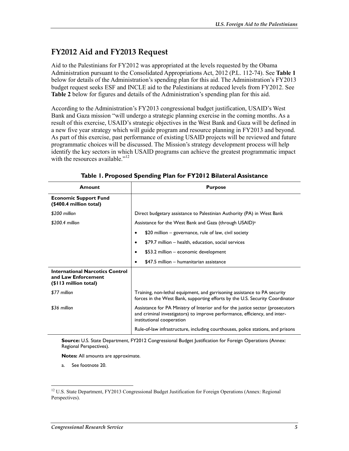### **FY2012 Aid and FY2013 Request**

Aid to the Palestinians for FY2012 was appropriated at the levels requested by the Obama Administration pursuant to the Consolidated Appropriations Act, 2012 (P.L. 112-74). See **Table 1** below for details of the Administration's spending plan for this aid. The Administration's FY2013 budget request seeks ESF and INCLE aid to the Palestinians at reduced levels from FY2012. See **Table 2** below for figures and details of the Administration's spending plan for this aid.

According to the Administration's FY2013 congressional budget justification, USAID's West Bank and Gaza mission "will undergo a strategic planning exercise in the coming months. As a result of this exercise, USAID's strategic objectives in the West Bank and Gaza will be defined in a new five year strategy which will guide program and resource planning in FY2013 and beyond. As part of this exercise, past performance of existing USAID projects will be reviewed and future programmatic choices will be discussed. The Mission's strategy development process will help identify the key sectors in which USAID programs can achieve the greatest programmatic impact with the resources available." $12$ 

| Amount                                                                                 | <b>Purpose</b>                                                                                                                                                                            |  |  |
|----------------------------------------------------------------------------------------|-------------------------------------------------------------------------------------------------------------------------------------------------------------------------------------------|--|--|
| <b>Economic Support Fund</b><br>(\$400.4 million total)                                |                                                                                                                                                                                           |  |  |
| \$200 million                                                                          | Direct budgetary assistance to Palestinian Authority (PA) in West Bank                                                                                                                    |  |  |
| \$200.4 million                                                                        | Assistance for the West Bank and Gaza (through USAID) <sup>a</sup>                                                                                                                        |  |  |
|                                                                                        | \$20 million - governance, rule of law, civil society                                                                                                                                     |  |  |
|                                                                                        | \$79.7 million - health, education, social services<br>$\bullet$                                                                                                                          |  |  |
|                                                                                        | \$53.2 million - economic development<br>٠                                                                                                                                                |  |  |
|                                                                                        | \$47.5 million - humanitarian assistance                                                                                                                                                  |  |  |
| <b>International Narcotics Control</b><br>and Law Enforcement<br>(\$113 million total) |                                                                                                                                                                                           |  |  |
| \$77 million                                                                           | Training, non-lethal equipment, and garrisoning assistance to PA security<br>forces in the West Bank, supporting efforts by the U.S. Security Coordinator                                 |  |  |
| \$36 million                                                                           | Assistance for PA Ministry of Interior and for the justice sector (prosecutors<br>and criminal investigators) to improve performance, efficiency, and inter-<br>institutional cooperation |  |  |
|                                                                                        | Rule-of-law infrastructure, including courthouses, police stations, and prisons                                                                                                           |  |  |

**Table 1. Proposed Spending Plan for FY2012 Bilateral Assistance** 

**Source:** U.S. State Department, FY2012 Congressional Budget Justification for Foreign Operations (Annex: Regional Perspectives).

**Notes:** All amounts are approximate.

a. See footnote 20.

<sup>&</sup>lt;sup>12</sup> U.S. State Department, FY2013 Congressional Budget Justification for Foreign Operations (Annex: Regional Perspectives).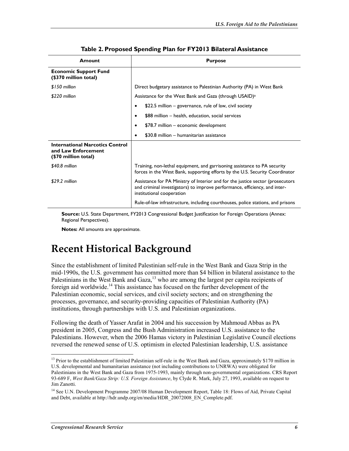| Amount                                                                                | <b>Purpose</b>                                                                                                                                                                            |
|---------------------------------------------------------------------------------------|-------------------------------------------------------------------------------------------------------------------------------------------------------------------------------------------|
| <b>Economic Support Fund</b><br>(\$370 million total)                                 |                                                                                                                                                                                           |
| \$150 million                                                                         | Direct budgetary assistance to Palestinian Authority (PA) in West Bank                                                                                                                    |
| \$220 million                                                                         | Assistance for the West Bank and Gaza (through USAID) <sup>a</sup>                                                                                                                        |
|                                                                                       | \$22.5 million – governance, rule of law, civil society<br>٠                                                                                                                              |
|                                                                                       | \$88 million - health, education, social services                                                                                                                                         |
|                                                                                       | \$78.7 million - economic development                                                                                                                                                     |
|                                                                                       | \$30.8 million - humanitarian assistance<br>٠                                                                                                                                             |
| <b>International Narcotics Control</b><br>and Law Enforcement<br>(\$70 million total) |                                                                                                                                                                                           |
| \$40.8 million                                                                        | Training, non-lethal equipment, and garrisoning assistance to PA security<br>forces in the West Bank, supporting efforts by the U.S. Security Coordinator                                 |
| \$29.2 million                                                                        | Assistance for PA Ministry of Interior and for the justice sector (prosecutors<br>and criminal investigators) to improve performance, efficiency, and inter-<br>institutional cooperation |
|                                                                                       | Rule-of-law infrastructure, including courthouses, police stations, and prisons                                                                                                           |

#### **Table 2. Proposed Spending Plan for FY2013 Bilateral Assistance**

**Source:** U.S. State Department, FY2013 Congressional Budget Justification for Foreign Operations (Annex: Regional Perspectives).

**Notes:** All amounts are approximate.

### **Recent Historical Background**

Since the establishment of limited Palestinian self-rule in the West Bank and Gaza Strip in the mid-1990s, the U.S. government has committed more than \$4 billion in bilateral assistance to the Palestinians in the West Bank and Gaza,<sup>13</sup> who are among the largest per capita recipients of foreign aid worldwide.<sup>14</sup> This assistance has focused on the further development of the Palestinian economic, social services, and civil society sectors; and on strengthening the processes, governance, and security-providing capacities of Palestinian Authority (PA) institutions, through partnerships with U.S. and Palestinian organizations.

Following the death of Yasser Arafat in 2004 and his succession by Mahmoud Abbas as PA president in 2005, Congress and the Bush Administration increased U.S. assistance to the Palestinians. However, when the 2006 Hamas victory in Palestinian Legislative Council elections reversed the renewed sense of U.S. optimism in elected Palestinian leadership, U.S. assistance

 $13$  Prior to the establishment of limited Palestinian self-rule in the West Bank and Gaza, approximately \$170 million in U.S. developmental and humanitarian assistance (not including contributions to UNRWA) were obligated for Palestinians in the West Bank and Gaza from 1975-1993, mainly through non-governmental organizations. CRS Report 93-689 F, *West Bank/Gaza Strip: U.S. Foreign Assistance*, by Clyde R. Mark, July 27, 1993, available on request to Jim Zanotti.

<sup>&</sup>lt;sup>14</sup> See U.N. Development Programme 2007/08 Human Development Report, Table 18: Flows of Aid, Private Capital and Debt, available at http://hdr.undp.org/en/media/HDR\_20072008\_EN\_Complete.pdf.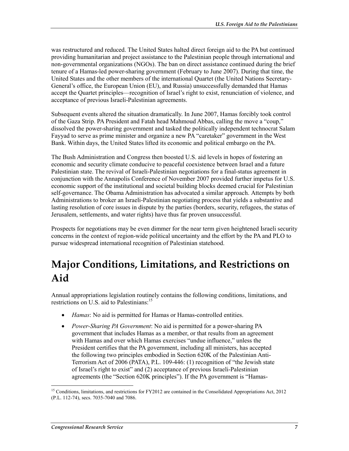was restructured and reduced. The United States halted direct foreign aid to the PA but continued providing humanitarian and project assistance to the Palestinian people through international and non-governmental organizations (NGOs). The ban on direct assistance continued during the brief tenure of a Hamas-led power-sharing government (February to June 2007). During that time, the United States and the other members of the international Quartet (the United Nations Secretary-General's office, the European Union (EU), and Russia) unsuccessfully demanded that Hamas accept the Quartet principles—recognition of Israel's right to exist, renunciation of violence, and acceptance of previous Israeli-Palestinian agreements.

Subsequent events altered the situation dramatically. In June 2007, Hamas forcibly took control of the Gaza Strip. PA President and Fatah head Mahmoud Abbas, calling the move a "coup," dissolved the power-sharing government and tasked the politically independent technocrat Salam Fayyad to serve as prime minister and organize a new PA "caretaker" government in the West Bank. Within days, the United States lifted its economic and political embargo on the PA.

The Bush Administration and Congress then boosted U.S. aid levels in hopes of fostering an economic and security climate conducive to peaceful coexistence between Israel and a future Palestinian state. The revival of Israeli-Palestinian negotiations for a final-status agreement in conjunction with the Annapolis Conference of November 2007 provided further impetus for U.S. economic support of the institutional and societal building blocks deemed crucial for Palestinian self-governance. The Obama Administration has advocated a similar approach. Attempts by both Administrations to broker an Israeli-Palestinian negotiating process that yields a substantive and lasting resolution of core issues in dispute by the parties (borders, security, refugees, the status of Jerusalem, settlements, and water rights) have thus far proven unsuccessful.

Prospects for negotiations may be even dimmer for the near term given heightened Israeli security concerns in the context of region-wide political uncertainty and the effort by the PA and PLO to pursue widespread international recognition of Palestinian statehood.

# **Major Conditions, Limitations, and Restrictions on Aid**

Annual appropriations legislation routinely contains the following conditions, limitations, and restrictions on U.S. aid to Palestinians:15

- *Hamas*: No aid is permitted for Hamas or Hamas-controlled entities.
- *Power-Sharing PA Government*: No aid is permitted for a power-sharing PA government that includes Hamas as a member, or that results from an agreement with Hamas and over which Hamas exercises "undue influence," unless the President certifies that the PA government, including all ministers, has accepted the following two principles embodied in Section 620K of the Palestinian Anti-Terrorism Act of 2006 (PATA), P.L. 109-446: (1) recognition of "the Jewish state of Israel's right to exist" and (2) acceptance of previous Israeli-Palestinian agreements (the "Section 620K principles"). If the PA government is "Hamas-

<sup>1</sup> <sup>15</sup> Conditions, limitations, and restrictions for FY2012 are contained in the Consolidated Appropriations Act, 2012 (P.L. 112-74), secs. 7035-7040 and 7086.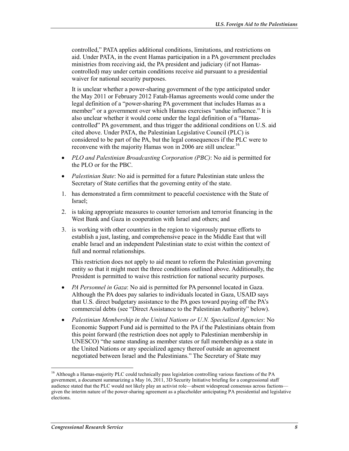controlled," PATA applies additional conditions, limitations, and restrictions on aid. Under PATA, in the event Hamas participation in a PA government precludes ministries from receiving aid, the PA president and judiciary (if not Hamascontrolled) may under certain conditions receive aid pursuant to a presidential waiver for national security purposes.

It is unclear whether a power-sharing government of the type anticipated under the May 2011 or February 2012 Fatah-Hamas agreements would come under the legal definition of a "power-sharing PA government that includes Hamas as a member" or a government over which Hamas exercises "undue influence." It is also unclear whether it would come under the legal definition of a "Hamascontrolled" PA government, and thus trigger the additional conditions on U.S. aid cited above. Under PATA, the Palestinian Legislative Council (PLC) is considered to be part of the PA, but the legal consequences if the PLC were to reconvene with the majority Hamas won in 2006 are still unclear.<sup>16</sup>

- *PLO and Palestinian Broadcasting Corporation (PBC)*: No aid is permitted for the PLO or for the PBC.
- *Palestinian State*: No aid is permitted for a future Palestinian state unless the Secretary of State certifies that the governing entity of the state.
- 1. has demonstrated a firm commitment to peaceful coexistence with the State of Israel;
- 2. is taking appropriate measures to counter terrorism and terrorist financing in the West Bank and Gaza in cooperation with Israel and others; and
- 3. is working with other countries in the region to vigorously pursue efforts to establish a just, lasting, and comprehensive peace in the Middle East that will enable Israel and an independent Palestinian state to exist within the context of full and normal relationships.

This restriction does not apply to aid meant to reform the Palestinian governing entity so that it might meet the three conditions outlined above. Additionally, the President is permitted to waive this restriction for national security purposes.

- *PA Personnel in Gaza*: No aid is permitted for PA personnel located in Gaza. Although the PA does pay salaries to individuals located in Gaza, USAID says that U.S. direct budgetary assistance to the PA goes toward paying off the PA's commercial debts (see "Direct Assistance to the Palestinian Authority" below).
- *Palestinian Membership in the United Nations or U.N. Specialized Agencies*: No Economic Support Fund aid is permitted to the PA if the Palestinians obtain from this point forward (the restriction does not apply to Palestinian membership in UNESCO) "the same standing as member states or full membership as a state in the United Nations or any specialized agency thereof outside an agreement negotiated between Israel and the Palestinians." The Secretary of State may

<sup>&</sup>lt;sup>16</sup> Although a Hamas-majority PLC could technically pass legislation controlling various functions of the PA government, a document summarizing a May 16, 2011, 3D Security Initiative briefing for a congressional staff audience stated that the PLC would not likely play an activist role—absent widespread consensus across factions given the interim nature of the power-sharing agreement as a placeholder anticipating PA presidential and legislative elections.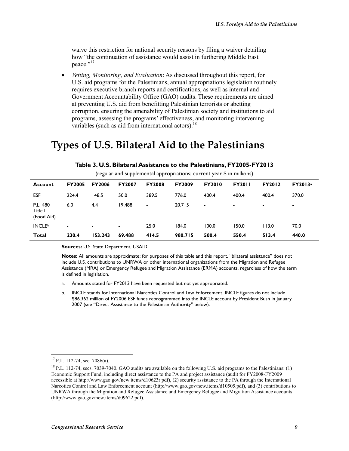waive this restriction for national security reasons by filing a waiver detailing how "the continuation of assistance would assist in furthering Middle East peace."<sup>17</sup>

• *Vetting, Monitoring, and Evaluation*: As discussed throughout this report, for U.S. aid programs for the Palestinians, annual appropriations legislation routinely requires executive branch reports and certifications, as well as internal and Government Accountability Office (GAO) audits. These requirements are aimed at preventing U.S. aid from benefitting Palestinian terrorists or abetting corruption, ensuring the amenability of Palestinian society and institutions to aid programs, assessing the programs' effectiveness, and monitoring intervening variables (such as aid from international actors). $^{18}$ 

### **Types of U.S. Bilateral Aid to the Palestinians**

|                                    |                | ັ             |                | . .            |               |               |                |                |         |
|------------------------------------|----------------|---------------|----------------|----------------|---------------|---------------|----------------|----------------|---------|
| Account                            | <b>FY2005</b>  | <b>FY2006</b> | <b>FY2007</b>  | <b>FY2008</b>  | <b>FY2009</b> | <b>FY2010</b> | <b>FY2011</b>  | <b>FY2012</b>  | FY2013a |
| <b>ESF</b>                         | 224.4          | 148.5         | 50.0           | 389.5          | 776.0         | 400.4         | 400.4          | 400.4          | 370.0   |
| P.L. 480<br>Title II<br>(Food Aid) | 6.0            | 4.4           | 19.488         | $\blacksquare$ | 20.715        | -             | $\blacksquare$ | $\blacksquare$ | -       |
| <b>INCLE</b> <sup>b</sup>          | $\blacksquare$ |               | $\blacksquare$ | 25.0           | 184.0         | 100.0         | 150.0          | 113.0          | 70.0    |
| <b>Total</b>                       | 230.4          | 153.243       | 69.488         | 414.5          | 980.715       | 500.4         | 550.4          | 513.4          | 440.0   |

#### **Table 3. U.S. Bilateral Assistance to the Palestinians, FY2005-FY2013**

(regular and supplemental appropriations; current year \$ in millions)

**Sources:** U.S. State Department, USAID.

**Notes:** All amounts are approximate; for purposes of this table and this report, "bilateral assistance" does not include U.S. contributions to UNRWA or other international organizations from the Migration and Refugee Assistance (MRA) or Emergency Refugee and Migration Assistance (ERMA) accounts, regardless of how the term is defined in legislation.

- a. Amounts stated for FY2013 have been requested but not yet appropriated.
- b. INCLE stands for International Narcotics Control and Law Enforcement. INCLE figures do not include \$86.362 million of FY2006 ESF funds reprogrammed into the INCLE account by President Bush in January 2007 (see "Direct Assistance to the Palestinian Authority" below).

 $17$  P.L. 112-74, sec. 7086(a).

<sup>&</sup>lt;sup>18</sup> P.L. 112-74, secs. 7039-7040. GAO audits are available on the following U.S. aid programs to the Palestinians: (1) Economic Support Fund, including direct assistance to the PA and project assistance (audit for FY2008-FY2009 accessible at http://www.gao.gov/new.items/d10623r.pdf), (2) security assistance to the PA through the International Narcotics Control and Law Enforcement account (http://www.gao.gov/new.items/d10505.pdf), and (3) contributions to UNRWA through the Migration and Refugee Assistance and Emergency Refugee and Migration Assistance accounts (http://www.gao.gov/new.items/d09622.pdf).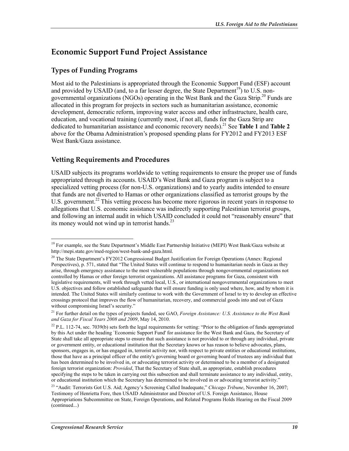#### **Economic Support Fund Project Assistance**

#### **Types of Funding Programs**

Most aid to the Palestinians is appropriated through the Economic Support Fund (ESF) account and provided by USAID (and, to a far lesser degree, the State Department<sup>19</sup>) to U.S. nongovernmental organizations (NGOs) operating in the West Bank and the Gaza Strip.<sup>20</sup> Funds are allocated in this program for projects in sectors such as humanitarian assistance, economic development, democratic reform, improving water access and other infrastructure, health care, education, and vocational training (currently most, if not all, funds for the Gaza Strip are dedicated to humanitarian assistance and economic recovery needs).21 See **Table 1** and **Table 2** above for the Obama Administration's proposed spending plans for FY2012 and FY2013 ESF West Bank/Gaza assistance.

#### **Vetting Requirements and Procedures**

USAID subjects its programs worldwide to vetting requirements to ensure the proper use of funds appropriated through its accounts. USAID's West Bank and Gaza program is subject to a specialized vetting process (for non-U.S. organizations) and to yearly audits intended to ensure that funds are not diverted to Hamas or other organizations classified as terrorist groups by the U.S. government.<sup>22</sup> This vetting process has become more rigorous in recent years in response to allegations that U.S. economic assistance was indirectly supporting Palestinian terrorist groups, and following an internal audit in which USAID concluded it could not "reasonably ensure" that its money would not wind up in terrorist hands. $^{23}$ 

<sup>&</sup>lt;sup>19</sup> For example, see the State Department's Middle East Partnership Initiative (MEPI) West Bank/Gaza website at http://mepi.state.gov/med-region/west-bank-and-gaza.html.

<sup>&</sup>lt;sup>20</sup> The State Department's FY2012 Congressional Budget Justification for Foreign Operations (Annex: Regional Perspectives), p. 571, stated that "The United States will continue to respond to humanitarian needs in Gaza as they arise, through emergency assistance to the most vulnerable populations through nongovernmental organizations not controlled by Hamas or other foreign terrorist organizations. All assistance programs for Gaza, consistent with legislative requirements, will work through vetted local, U.S., or international nongovernmental organizations to meet U.S. objectives and follow established safeguards that will ensure funding is only used where, how, and by whom it is intended. The United States will similarly continue to work with the Government of Israel to try to develop an effective crossings protocol that improves the flow of humanitarian, recovery, and commercial goods into and out of Gaza without compromising Israel's security."

<sup>21</sup> For further detail on the types of projects funded, see GAO, *Foreign Assistance: U.S. Assistance to the West Bank and Gaza for Fiscal Years 2008 and 2009*, May 14, 2010.

 $^{22}$  P.L. 112-74, sec. 7039(b) sets forth the legal requirements for vetting: "Prior to the obligation of funds appropriated by this Act under the heading `Economic Support Fund' for assistance for the West Bank and Gaza, the Secretary of State shall take all appropriate steps to ensure that such assistance is not provided to or through any individual, private or government entity, or educational institution that the Secretary knows or has reason to believe advocates, plans, sponsors, engages in, or has engaged in, terrorist activity nor, with respect to private entities or educational institutions, those that have as a principal officer of the entity's governing board or governing board of trustees any individual that has been determined to be involved in, or advocating terrorist activity or determined to be a member of a designated foreign terrorist organization: *Provided*, That the Secretary of State shall, as appropriate, establish procedures specifying the steps to be taken in carrying out this subsection and shall terminate assistance to any individual, entity, or educational institution which the Secretary has determined to be involved in or advocating terrorist activity."

<sup>23 &</sup>quot;Audit: Terrorists Got U.S. Aid; Agency's Screening Called Inadequate," *Chicago Tribune*, November 16, 2007; Testimony of Henrietta Fore, then USAID Administrator and Director of U.S. Foreign Assistance, House Appropriations Subcommittee on State, Foreign Operations, and Related Programs Holds Hearing on the Fiscal 2009 (continued...)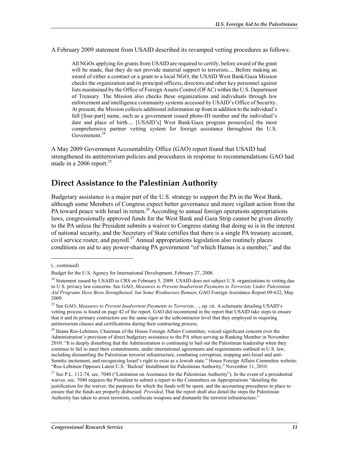A February 2009 statement from USAID described its revamped vetting procedures as follows:

All NGOs applying for grants from USAID are required to certify, before award of the grant will be made, that they do not provide material support to terrorists.... Before making an award of either a contract or a grant to a local NGO, the USAID West Bank/Gaza Mission checks the organization and its principal officers, directors and other key personnel against lists maintained by the Office of Foreign Assets Control (OFAC) within the U.S. Department of Treasury. The Mission also checks these organizations and individuals through law enforcement and intelligence community systems accessed by USAID's Office of Security. At present, the Mission collects additional information up front in addition to the individual's full [four-part] name, such as a government issued photo-ID number and the individual's date and place of birth.... [USAID's] West Bank/Gaza program possess[es] the most comprehensive partner vetting system for foreign assistance throughout the U.S. Government.<sup>24</sup>

A May 2009 Government Accountability Office (GAO) report found that USAID had strengthened its antiterrorism policies and procedures in response to recommendations GAO had made in a 2006 report. $25$ 

#### **Direct Assistance to the Palestinian Authority**

Budgetary assistance is a major part of the U.S. strategy to support the PA in the West Bank, although some Members of Congress expect better governance and more vigilant action from the PA toward peace with Israel in return.<sup>26</sup> According to annual foreign operations appropriations laws, congressionally approved funds for the West Bank and Gaza Strip cannot be given directly to the PA unless the President submits a waiver to Congress stating that doing so is in the interest of national security, and the Secretary of State certifies that there is a single PA treasury account, civil service roster, and payroll.<sup>27</sup> Annual appropriations legislation also routinely places conditions on aid to any power-sharing PA government "of which Hamas is a member," and the

<sup>(...</sup>continued)

Budget for the U.S. Agency for International Development, February 27, 2008.

<sup>&</sup>lt;sup>24</sup> Statement issued by USAID to CRS on February 5, 2009. USAID does not subject U.S. organizations to vetting due to U.S. privacy law concerns. See GAO, *Measures to Prevent Inadvertent Payments to Terrorists Under Palestinian Aid Programs Have Been Strengthened, but Some Weaknesses Remain*, GAO Foreign Assistance Report 09-622, May 2009.

<sup>25</sup> See GAO, *Measures to Prevent Inadvertent Payments to Terrorists*…, op. cit. A schematic detailing USAID's vetting process is found on page 42 of the report. GAO did recommend in the report that USAID take steps to ensure that it and its primary contractors use the same rigor at the subcontractor level that they employed in requiring antiterrorism clauses and certifications during their contracting process.

<sup>&</sup>lt;sup>26</sup> Ileana Ros-Lehtinen, Chairman of the House Foreign Affairs Committee, voiced significant concern over the Administration's provision of direct budgetary assistance to the PA when serving as Ranking Member in November 2010: "It is deeply disturbing that the Administration is continuing to bail out the Palestinian leadership when they continue to fail to meet their commitments, under international agreements and requirements outlined in U.S. law, including dismantling the Palestinian terrorist infrastructure, combating corruption, stopping anti-Israel and anti-Semitic incitement, and recognizing Israel's right to exist as a Jewish state." House Foreign Affairs Committee website: "Ros-Lehtinen Opposes Latest U.S. 'Bailout' Installment for Palestinian Authority," November 11, 2010.

<sup>&</sup>lt;sup>27</sup> See P.L. 112-74, sec. 7040 ("Limitation on Assistance for the Palestinian Authority"). In the event of a presidential waiver, sec. 7040 requires the President to submit a report to the Committees on Appropriations "detailing the justification for the waiver, the purposes for which the funds will be spent, and the accounting procedures in place to ensure that the funds are properly disbursed: *Provided*, That the report shall also detail the steps the Palestinian Authority has taken to arrest terrorists, confiscate weapons and dismantle the terrorist infrastructure."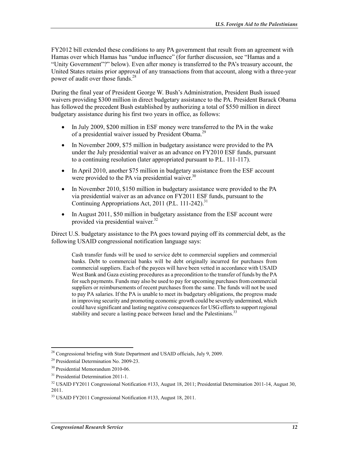FY2012 bill extended these conditions to any PA government that result from an agreement with Hamas over which Hamas has "undue influence" (for further discussion, see "Hamas and a "Unity Government"?" below). Even after money is transferred to the PA's treasury account, the United States retains prior approval of any transactions from that account, along with a three-year power of audit over those funds.<sup>28</sup>

During the final year of President George W. Bush's Administration, President Bush issued waivers providing \$300 million in direct budgetary assistance to the PA. President Barack Obama has followed the precedent Bush established by authorizing a total of \$550 million in direct budgetary assistance during his first two years in office, as follows:

- In July 2009, \$200 million in ESF money were transferred to the PA in the wake of a presidential waiver issued by President Obama.29
- In November 2009, \$75 million in budgetary assistance were provided to the PA under the July presidential waiver as an advance on FY2010 ESF funds, pursuant to a continuing resolution (later appropriated pursuant to P.L. 111-117).
- In April 2010, another \$75 million in budgetary assistance from the ESF account were provided to the PA via presidential waiver.  $30<sup>30</sup>$
- In November 2010, \$150 million in budgetary assistance were provided to the PA via presidential waiver as an advance on FY2011 ESF funds, pursuant to the Continuing Appropriations Act, 2011 (P.L. 111-242).<sup>31</sup>
- In August 2011, \$50 million in budgetary assistance from the ESF account were provided via presidential waiver.<sup>32</sup>

Direct U.S. budgetary assistance to the PA goes toward paying off its commercial debt, as the following USAID congressional notification language says:

Cash transfer funds will be used to service debt to commercial suppliers and commercial banks. Debt to commercial banks will be debt originally incurred for purchases from commercial suppliers. Each of the payees will have been vetted in accordance with USAID West Bank and Gaza existing procedures as a precondition to the transfer of funds by the PA for such payments. Funds may also be used to pay for upcoming purchases from commercial suppliers or reimbursements of recent purchases from the same. The funds will not be used to pay PA salaries. If the PA is unable to meet its budgetary obligations, the progress made in improving security and promoting economic growth could be severely undermined, which could have significant and lasting negative consequences for USG efforts to support regional stability and secure a lasting peace between Israel and the Palestinians.<sup>33</sup>

<sup>1</sup>  $^{28}$  Congressional briefing with State Department and USAID officials, July 9, 2009.

<sup>29</sup> Presidential Determination No. 2009-23.

<sup>30</sup> Presidential Memorandum 2010-06.

<sup>&</sup>lt;sup>31</sup> Presidential Determination 2011-1.

 $32$  USAID FY2011 Congressional Notification #133, August 18, 2011; Presidential Determination 2011-14, August 30, 2011.

<sup>33</sup> USAID FY2011 Congressional Notification #133, August 18, 2011.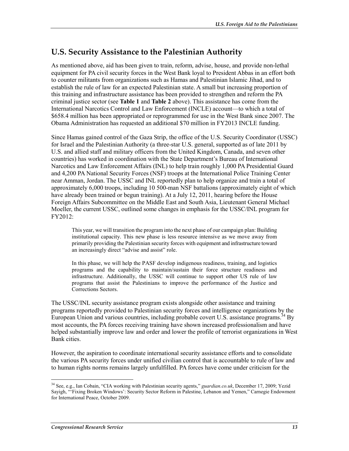### **U.S. Security Assistance to the Palestinian Authority**

As mentioned above, aid has been given to train, reform, advise, house, and provide non-lethal equipment for PA civil security forces in the West Bank loyal to President Abbas in an effort both to counter militants from organizations such as Hamas and Palestinian Islamic Jihad, and to establish the rule of law for an expected Palestinian state. A small but increasing proportion of this training and infrastructure assistance has been provided to strengthen and reform the PA criminal justice sector (see **Table 1** and **Table 2** above). This assistance has come from the International Narcotics Control and Law Enforcement (INCLE) account—to which a total of \$658.4 million has been appropriated or reprogrammed for use in the West Bank since 2007. The Obama Administration has requested an additional \$70 million in FY2013 INCLE funding.

Since Hamas gained control of the Gaza Strip, the office of the U.S. Security Coordinator (USSC) for Israel and the Palestinian Authority (a three-star U.S. general, supported as of late 2011 by U.S. and allied staff and military officers from the United Kingdom, Canada, and seven other countries) has worked in coordination with the State Department's Bureau of International Narcotics and Law Enforcement Affairs (INL) to help train roughly 1,000 PA Presidential Guard and 4,200 PA National Security Forces (NSF) troops at the International Police Training Center near Amman, Jordan. The USSC and INL reportedly plan to help organize and train a total of approximately 6,000 troops, including 10 500-man NSF battalions (approximately eight of which have already been trained or begun training). At a July 12, 2011, hearing before the House Foreign Affairs Subcommittee on the Middle East and South Asia, Lieutenant General Michael Moeller, the current USSC, outlined some changes in emphasis for the USSC/INL program for FY2012:

This year, we will transition the program into the next phase of our campaign plan: Building institutional capacity. This new phase is less resource intensive as we move away from primarily providing the Palestinian security forces with equipment and infrastructure toward an increasingly direct "advise and assist" role.

In this phase, we will help the PASF develop indigenous readiness, training, and logistics programs and the capability to maintain/sustain their force structure readiness and infrastructure. Additionally, the USSC will continue to support other US rule of law programs that assist the Palestinians to improve the performance of the Justice and Corrections Sectors.

The USSC/INL security assistance program exists alongside other assistance and training programs reportedly provided to Palestinian security forces and intelligence organizations by the European Union and various countries, including probable covert U.S. assistance programs.<sup>34</sup> By most accounts, the PA forces receiving training have shown increased professionalism and have helped substantially improve law and order and lower the profile of terrorist organizations in West Bank cities.

However, the aspiration to coordinate international security assistance efforts and to consolidate the various PA security forces under unified civilian control that is accountable to rule of law and to human rights norms remains largely unfulfilled. PA forces have come under criticism for the

<sup>34</sup> See, e.g., Ian Cobain, "CIA working with Palestinian security agents," *guardian.co.uk*, December 17, 2009; Yezid Sayigh, "'Fixing Broken Windows': Security Sector Reform in Palestine, Lebanon and Yemen," Carnegie Endowment for International Peace, October 2009.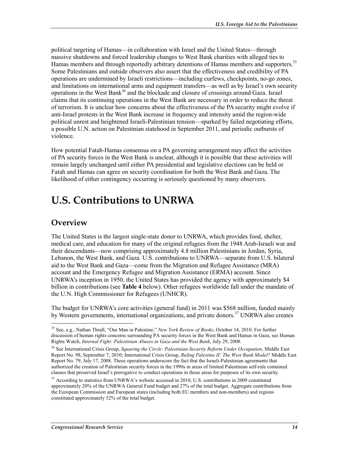political targeting of Hamas—in collaboration with Israel and the United States—through massive shutdowns and forced leadership changes to West Bank charities with alleged ties to Hamas members and through reportedly arbitrary detentions of Hamas members and supporters.<sup>35</sup> Some Palestinians and outside observers also assert that the effectiveness and credibility of PA operations are undermined by Israeli restrictions—including curfews, checkpoints, no-go zones, and limitations on international arms and equipment transfers—as well as by Israel's own security operations in the West Bank<sup>36</sup> and the blockade and closure of crossings around Gaza. Israel claims that its continuing operations in the West Bank are necessary in order to reduce the threat of terrorism. It is unclear how concerns about the effectiveness of the PA security might evolve if anti-Israel protests in the West Bank increase in frequency and intensity amid the region-wide political unrest and heightened Israeli-Palestinian tension—sparked by failed negotiating efforts, a possible U.N. action on Palestinian statehood in September 2011, and periodic outbursts of violence.

How potential Fatah-Hamas consensus on a PA governing arrangement may affect the activities of PA security forces in the West Bank is unclear, although it is possible that these activities will remain largely unchanged until either PA presidential and legislative elections can be held or Fatah and Hamas can agree on security coordination for both the West Bank and Gaza. The likelihood of either contingency occurring is seriously questioned by many observers.

# **U.S. Contributions to UNRWA**

### **Overview**

1

The United States is the largest single-state donor to UNRWA, which provides food, shelter, medical care, and education for many of the original refugees from the 1948 Arab-Israeli war and their descendants—now comprising approximately 4.8 million Palestinians in Jordan, Syria, Lebanon, the West Bank, and Gaza. U.S. contributions to UNRWA—separate from U.S. bilateral aid to the West Bank and Gaza—come from the Migration and Refugee Assistance (MRA) account and the Emergency Refugee and Migration Assistance (ERMA) account. Since UNRWA's inception in 1950, the United States has provided the agency with approximately \$4 billion in contributions (see **Table 4** below). Other refugees worldwide fall under the mandate of the U.N. High Commissioner for Refugees (UNHCR).

The budget for UNRWA's core activities (general fund) in 2011 was \$568 million, funded mainly by Western governments, international organizations, and private donors.<sup>37</sup> UNRWA also creates

<sup>35</sup> See, e.g., Nathan Thrall, "Our Man in Palestine," *New York Review of Books*, October 14, 2010. For further discussion of human rights concerns surrounding PA security forces in the West Bank and Hamas in Gaza, see Human Rights Watch, *Internal Fight: Palestinian Abuses in Gaza and the West Bank*, July 29, 2008.

<sup>36</sup> See International Crisis Group, *Squaring the Circle: Palestinian Security Reform Under Occupation*, Middle East Report No. 98, September 7, 2010; International Crisis Group, *Ruling Palestine II: The West Bank Model?* Middle East Report No. 79, July 17, 2008. These operations underscore the fact that the Israeli-Palestinian agreements that authorized the creation of Palestinian security forces in the 1990s in areas of limited Palestinian self-rule contained clauses that preserved Israel's prerogative to conduct operations in those areas for purposes of its own security.

<sup>&</sup>lt;sup>37</sup> According to statistics from UNRWA's website accessed in 2010, U.S. contributions in 2009 constituted approximately 20% of the UNRWA General Fund budget and 27% of the total budget. Aggregate contributions from the European Commission and European states (including both EU members and non-members) and regions constituted approximately 52% of the total budget.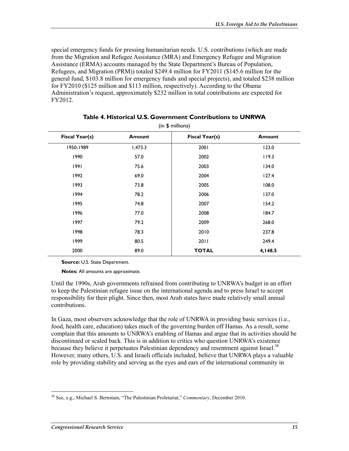special emergency funds for pressing humanitarian needs. U.S. contributions (which are made from the Migration and Refugee Assistance (MRA) and Emergency Refugee and Migration Assistance (ERMA) accounts managed by the State Department's Bureau of Population, Refugees, and Migration (PRM)) totaled \$249.4 million for FY2011 (\$145.6 million for the general fund, \$103.8 million for emergency funds and special projects), and totaled \$238 million for FY2010 (\$125 million and \$113 million, respectively). According to the Obama Administration's request, approximately \$232 million in total contributions are expected for FY2012.

| $(III)$ p $IIIIII$ $(III)$ |               |                       |               |  |  |  |
|----------------------------|---------------|-----------------------|---------------|--|--|--|
| Fiscal Year(s)             | <b>Amount</b> | <b>Fiscal Year(s)</b> | <b>Amount</b> |  |  |  |
| 1950-1989                  | 1,473.3       | 2001                  | 123.0         |  |  |  |
| 1990                       | 57.0          | 2002                  | 119.3         |  |  |  |
| 1991                       | 75.6          | 2003                  | 134.0         |  |  |  |
| 1992                       | 69.0          | 2004                  | 127.4         |  |  |  |
| 1993                       | 73.8          | 2005                  | 108.0         |  |  |  |
| 1994                       | 78.2          | 2006                  | 137.0         |  |  |  |
| 1995                       | 74.8          | 2007                  | 154.2         |  |  |  |
| 1996                       | 77.0          | 2008                  | 184.7         |  |  |  |
| 1997                       | 79.2          | 2009                  | 268.0         |  |  |  |
| 1998                       | 78.3          | 2010                  | 237.8         |  |  |  |
| 1999                       | 80.5          | 2011                  | 249.4         |  |  |  |
| 2000                       | 89.0          | <b>TOTAL</b>          | 4,148.5       |  |  |  |
|                            |               |                       |               |  |  |  |

#### **Table 4. Historical U.S. Government Contributions to UNRWA**   $(1, 6, \ldots)$  in  $(1, 1, \ldots)$

**Source:** U.S. State Department.

**Notes:** All amounts are approximate.

Until the 1990s, Arab governments refrained from contributing to UNRWA's budget in an effort to keep the Palestinian refugee issue on the international agenda and to press Israel to accept responsibility for their plight. Since then, most Arab states have made relatively small annual contributions.

In Gaza, most observers acknowledge that the role of UNRWA in providing basic services (i.e., food, health care, education) takes much of the governing burden off Hamas. As a result, some complain that this amounts to UNRWA's enabling of Hamas and argue that its activities should be discontinued or scaled back. This is in addition to critics who question UNRWA's existence because they believe it perpetuates Palestinian dependency and resentment against Israel.<sup>38</sup> However, many others, U.S. and Israeli officials included, believe that UNRWA plays a valuable role by providing stability and serving as the eyes and ears of the international community in

<sup>&</sup>lt;u>.</u> 38 See, e.g., Michael S. Bernstam, "The Palestinian Proletariat," *Commentary*, December 2010.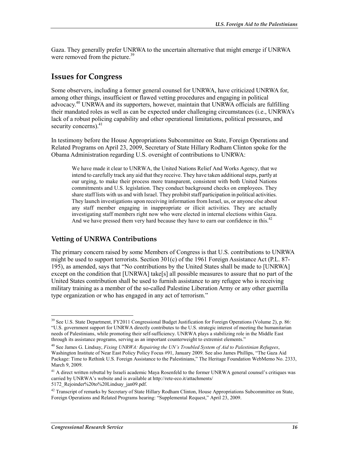Gaza. They generally prefer UNRWA to the uncertain alternative that might emerge if UNRWA were removed from the picture.<sup>39</sup>

#### **Issues for Congress**

Some observers, including a former general counsel for UNRWA, have criticized UNRWA for, among other things, insufficient or flawed vetting procedures and engaging in political advocacy.<sup>40</sup> UNRWA and its supporters, however, maintain that UNRWA officials are fulfilling their mandated roles as well as can be expected under challenging circumstances (i.e., UNRWA's lack of a robust policing capability and other operational limitations, political pressures, and security concerns). $41$ 

In testimony before the House Appropriations Subcommittee on State, Foreign Operations and Related Programs on April 23, 2009, Secretary of State Hillary Rodham Clinton spoke for the Obama Administration regarding U.S. oversight of contributions to UNRWA:

We have made it clear to UNRWA, the United Nations Relief And Works Agency, that we intend to carefully track any aid that they receive. They have taken additional steps, partly at our urging, to make their process more transparent, consistent with both United Nations commitments and U.S. legislation. They conduct background checks on employees. They share staff lists with us and with Israel. They prohibit staff participation in political activities. They launch investigations upon receiving information from Israel, us, or anyone else about any staff member engaging in inappropriate or illicit activities. They are actually investigating staff members right now who were elected in internal elections within Gaza. And we have pressed them very hard because they have to earn our confidence in this.<sup>42</sup>

#### **Vetting of UNRWA Contributions**

The primary concern raised by some Members of Congress is that U.S. contributions to UNRWA might be used to support terrorists. Section 301(c) of the 1961 Foreign Assistance Act (P.L. 87- 195), as amended, says that "No contributions by the United States shall be made to [UNRWA] except on the condition that [UNRWA] take[s] all possible measures to assure that no part of the United States contribution shall be used to furnish assistance to any refugee who is receiving military training as a member of the so-called Palestine Liberation Army or any other guerrilla type organization or who has engaged in any act of terrorism."

 $39$  See U.S. State Department, FY2011 Congressional Budget Justification for Foreign Operations (Volume 2), p. 86: "U.S. government support for UNRWA directly contributes to the U.S. strategic interest of meeting the humanitarian needs of Palestinians, while promoting their self-sufficiency. UNRWA plays a stabilizing role in the Middle East through its assistance programs, serving as an important counterweight to extremist elements."

<sup>40</sup> See James G. Lindsay, *Fixing UNRWA: Repairing the UN's Troubled System of Aid to Palestinian Refugees*, Washington Institute of Near East Policy Policy Focus #91, January 2009. See also James Phillips, "The Gaza Aid Package: Time to Rethink U.S. Foreign Assistance to the Palestinians," The Heritage Foundation WebMemo No. 2333, March 9, 2009.

<sup>&</sup>lt;sup>41</sup> A direct written rebuttal by Israeli academic Maya Rosenfeld to the former UNRWA general counsel's critiques was carried by UNRWA's website and is available at http://rete-eco.it/attachments/ 5172\_Rejoinder%20to%20Lindsay\_jan09.pdf.

 $42$  Transcript of remarks by Secretary of State Hillary Rodham Clinton, House Appropriations Subcommittee on State, Foreign Operations and Related Programs hearing: "Supplemental Request," April 23, 2009.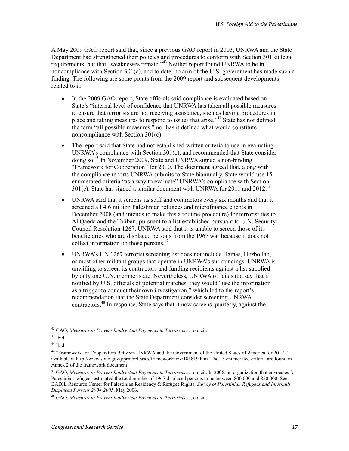A May 2009 GAO report said that, since a previous GAO report in 2003, UNRWA and the State Department had strengthened their policies and procedures to conform with Section 301(c) legal requirements, but that "weaknesses remain."<sup>43</sup> Neither report found UNRWA to be in noncompliance with Section 301(c), and to date, no arm of the U.S. government has made such a finding. The following are some points from the 2009 report and subsequent developments related to it:

- In the 2009 GAO report, State officials said compliance is evaluated based on State's "internal level of confidence that UNRWA has taken all possible measures to ensure that terrorists are not receiving assistance, such as having procedures in place and taking measures to respond to issues that arise."44 State has not defined the term "all possible measures," nor has it defined what would constitute noncompliance with Section 301(c).
- The report said that State had not established written criteria to use in evaluating UNRWA's compliance with Section 301(c), and recommended that State consider doing so.45 In November 2009, State and UNRWA signed a non-binding "Framework for Cooperation" for 2010. The document agreed that, along with the compliance reports UNRWA submits to State biannually, State would use 15 enumerated criteria "as a way to evaluate" UNRWA's compliance with Section  $301(c)$ . State has signed a similar document with UNRWA for 2011 and 2012.<sup>46</sup>
- UNRWA said that it screens its staff and contractors every six months and that it screened all 4.6 million Palestinian refugees and microfinance clients in December 2008 (and intends to make this a routine procedure) for terrorist ties to Al Qaeda and the Taliban, pursuant to a list established pursuant to U.N. Security Council Resolution 1267. UNRWA said that it is unable to screen those of its beneficiaries who are displaced persons from the 1967 war because it does not collect information on those persons.<sup>47</sup>
- UNRWA's UN 1267 terrorist screening list does not include Hamas, Hezbollah, or most other militant groups that operate in UNRWA's surroundings. UNRWA is unwilling to screen its contractors and funding recipients against a list supplied by only one U.N. member state. Nevertheless, UNRWA officials did say that if notified by U.S. officials of potential matches, they would "use the information as a trigger to conduct their own investigation," which led to the report's recommendation that the State Department consider screening UNRWA contractors.48 In response, State says that it now screens quarterly, against the

<sup>43</sup> GAO, *Measures to Prevent Inadvertent Payments to Terrorists*…, op. cit.

 $44$  Ibid.

 $45$  Ibid.

<sup>&</sup>lt;sup>46</sup> "Framework for Cooperation Between UNRWA and the Government of the United States of America for 2012," available at http://www.state.gov/j/prm/releases/frameworknew/185819.htm. The 15 enumerated criteria are found in Annex 2 of the framework document.

<sup>47</sup> GAO, *Measures to Prevent Inadvertent Payments to Terrorists*…, op. cit. In 2006, an organization that advocates for Palestinian refugees estimated the total number of 1967 displaced persons to be between 800,000 and 850,000. See BADIL Resource Center for Palestinian Residency & Refugee Rights, *Survey of Palestinian Refugees and Internally Displaced Persons 2004-2005*, May 2006.

<sup>48</sup> GAO, *Measures to Prevent Inadvertent Payments to Terrorists*…, op. cit.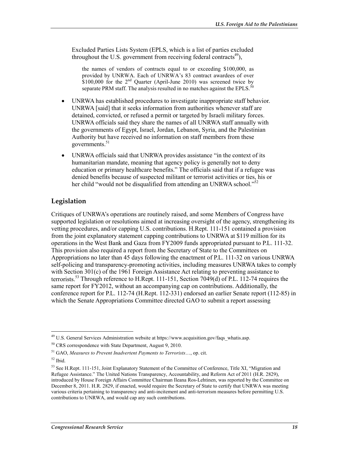Excluded Parties Lists System (EPLS, which is a list of parties excluded throughout the U.S. government from receiving federal contracts<sup>49</sup>),

the names of vendors of contracts equal to or exceeding \$100,000, as provided by UNRWA. Each of UNRWA's 83 contract awardees of over  $$100,000$  for the  $2<sup>nd</sup>$  Quarter (April-June 2010) was screened twice by separate PRM staff. The analysis resulted in no matches against the EPLS. $50$ 

- UNRWA has established procedures to investigate inappropriate staff behavior. UNRWA [said] that it seeks information from authorities whenever staff are detained, convicted, or refused a permit or targeted by Israeli military forces. UNRWA officials said they share the names of all UNRWA staff annually with the governments of Egypt, Israel, Jordan, Lebanon, Syria, and the Palestinian Authority but have received no information on staff members from these governments.<sup>51</sup>
- UNRWA officials said that UNRWA provides assistance "in the context of its humanitarian mandate, meaning that agency policy is generally not to deny education or primary healthcare benefits." The officials said that if a refugee was denied benefits because of suspected militant or terrorist activities or ties, his or her child "would not be disqualified from attending an UNRWA school."<sup>52</sup>

#### **Legislation**

Critiques of UNRWA's operations are routinely raised, and some Members of Congress have supported legislation or resolutions aimed at increasing oversight of the agency, strengthening its vetting procedures, and/or capping U.S. contributions. H.Rept. 111-151 contained a provision from the joint explanatory statement capping contributions to UNRWA at \$119 million for its operations in the West Bank and Gaza from FY2009 funds appropriated pursuant to P.L. 111-32. This provision also required a report from the Secretary of State to the Committees on Appropriations no later than 45 days following the enactment of P.L. 111-32 on various UNRWA self-policing and transparency-promoting activities, including measures UNRWA takes to comply with Section 301(c) of the 1961 Foreign Assistance Act relating to preventing assistance to terrorists.<sup>53</sup> Through reference to H.Rept. 111-151, Section 7049(d) of P.L. 112-74 requires the same report for FY2012, without an accompanying cap on contributions. Additionally, the conference report for P.L. 112-74 (H.Rept. 112-331) endorsed an earlier Senate report (112-85) in which the Senate Appropriations Committee directed GAO to submit a report assessing

<sup>&</sup>lt;sup>49</sup> U.S. General Services Administration website at https://www.acquisition.gov/faqs\_whatis.asp.

<sup>50</sup> CRS correspondence with State Department, August 9, 2010.

<sup>51</sup> GAO, *Measures to Prevent Inadvertent Payments to Terrorists*…, op. cit.

<sup>52</sup> Ibid.

<sup>&</sup>lt;sup>53</sup> See H.Rept. 111-151, Joint Explanatory Statement of the Committee of Conference, Title XI, "Migration and Refugee Assistance." The United Nations Transparency, Accountability, and Reform Act of 2011 (H.R. 2829), introduced by House Foreign Affairs Committee Chairman Ileana Ros-Lehtinen, was reported by the Committee on December 8, 2011. H.R. 2829, if enacted, would require the Secretary of State to certify that UNRWA was meeting various criteria pertaining to transparency and anti-incitement and anti-terrorism measures before permitting U.S. contributions to UNRWA, and would cap any such contributions.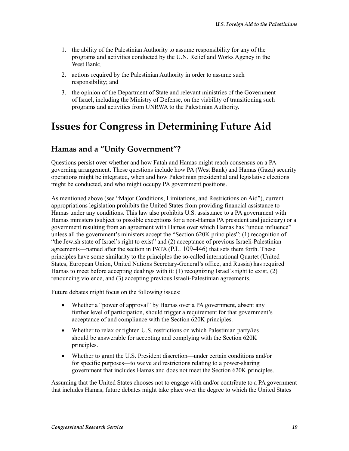- 1. the ability of the Palestinian Authority to assume responsibility for any of the programs and activities conducted by the U.N. Relief and Works Agency in the West Bank;
- 2. actions required by the Palestinian Authority in order to assume such responsibility; and
- 3. the opinion of the Department of State and relevant ministries of the Government of Israel, including the Ministry of Defense, on the viability of transitioning such programs and activities from UNRWA to the Palestinian Authority.

## **Issues for Congress in Determining Future Aid**

#### **Hamas and a "Unity Government"?**

Questions persist over whether and how Fatah and Hamas might reach consensus on a PA governing arrangement. These questions include how PA (West Bank) and Hamas (Gaza) security operations might be integrated, when and how Palestinian presidential and legislative elections might be conducted, and who might occupy PA government positions.

As mentioned above (see "Major Conditions, Limitations, and Restrictions on Aid"), current appropriations legislation prohibits the United States from providing financial assistance to Hamas under any conditions. This law also prohibits U.S. assistance to a PA government with Hamas ministers (subject to possible exceptions for a non-Hamas PA president and judiciary) or a government resulting from an agreement with Hamas over which Hamas has "undue influence" unless all the government's ministers accept the "Section 620K principles": (1) recognition of "the Jewish state of Israel's right to exist" and (2) acceptance of previous Israeli-Palestinian agreements—named after the section in PATA (P.L. 109-446) that sets them forth. These principles have some similarity to the principles the so-called international Quartet (United States, European Union, United Nations Secretary-General's office, and Russia) has required Hamas to meet before accepting dealings with it: (1) recognizing Israel's right to exist, (2) renouncing violence, and (3) accepting previous Israeli-Palestinian agreements.

Future debates might focus on the following issues:

- Whether a "power of approval" by Hamas over a PA government, absent any further level of participation, should trigger a requirement for that government's acceptance of and compliance with the Section 620K principles.
- Whether to relax or tighten U.S. restrictions on which Palestinian party/ies should be answerable for accepting and complying with the Section 620K principles.
- Whether to grant the U.S. President discretion—under certain conditions and/or for specific purposes—to waive aid restrictions relating to a power-sharing government that includes Hamas and does not meet the Section 620K principles.

Assuming that the United States chooses not to engage with and/or contribute to a PA government that includes Hamas, future debates might take place over the degree to which the United States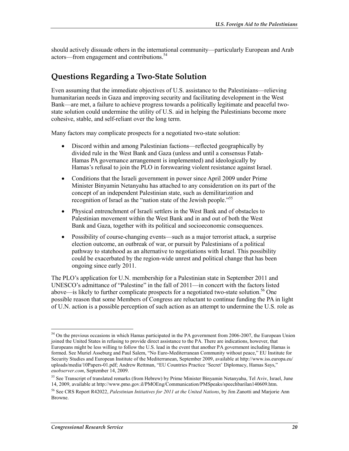should actively dissuade others in the international community—particularly European and Arab actors—from engagement and contributions.<sup>54</sup>

#### **Questions Regarding a Two-State Solution**

Even assuming that the immediate objectives of U.S. assistance to the Palestinians—relieving humanitarian needs in Gaza and improving security and facilitating development in the West Bank—are met, a failure to achieve progress towards a politically legitimate and peaceful twostate solution could undermine the utility of U.S. aid in helping the Palestinians become more cohesive, stable, and self-reliant over the long term.

Many factors may complicate prospects for a negotiated two-state solution:

- Discord within and among Palestinian factions—reflected geographically by divided rule in the West Bank and Gaza (unless and until a consensus Fatah-Hamas PA governance arrangement is implemented) and ideologically by Hamas's refusal to join the PLO in forswearing violent resistance against Israel.
- Conditions that the Israeli government in power since April 2009 under Prime Minister Binyamin Netanyahu has attached to any consideration on its part of the concept of an independent Palestinian state, such as demilitarization and recognition of Israel as the "nation state of the Jewish people."<sup>55</sup>
- Physical entrenchment of Israeli settlers in the West Bank and of obstacles to Palestinian movement within the West Bank and in and out of both the West Bank and Gaza, together with its political and socioeconomic consequences.
- Possibility of course-changing events—such as a major terrorist attack, a surprise election outcome, an outbreak of war, or pursuit by Palestinians of a political pathway to statehood as an alternative to negotiations with Israel. This possibility could be exacerbated by the region-wide unrest and political change that has been ongoing since early 2011.

The PLO's application for U.N. membership for a Palestinian state in September 2011 and UNESCO's admittance of "Palestine" in the fall of 2011—in concert with the factors listed above—is likely to further complicate prospects for a negotiated two-state solution.<sup>56</sup> One possible reason that some Members of Congress are reluctant to continue funding the PA in light of U.N. action is a possible perception of such action as an attempt to undermine the U.S. role as

<sup>&</sup>lt;sup>54</sup> On the previous occasions in which Hamas participated in the PA government from 2006-2007, the European Union joined the United States in refusing to provide direct assistance to the PA. There are indications, however, that Europeans might be less willing to follow the U.S. lead in the event that another PA government including Hamas is formed. See Muriel Asseburg and Paul Salem, "No Euro-Mediterranean Community without peace," EU Institute for Security Studies and European Institute of the Mediterranean, September 2009, available at http://www.iss.europa.eu/ uploads/media/10Papers-01.pdf; Andrew Rettman, "EU Countries Practice 'Secret' Diplomacy, Hamas Says," *euobserver.com*, September 14, 2009.

<sup>&</sup>lt;sup>55</sup> See Transcript of translated remarks (from Hebrew) by Prime Minister Binyamin Netanyahu, Tel Aviv, Israel, June 14, 2009, available at http://www.pmo.gov.il/PMOEng/Communication/PMSpeaks/speechbarilan140609.htm.

<sup>56</sup> See CRS Report R42022, *Palestinian Initiatives for 2011 at the United Nations*, by Jim Zanotti and Marjorie Ann Browne.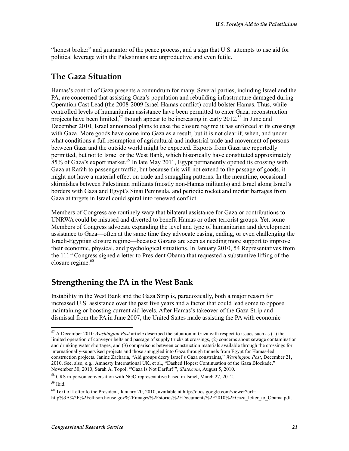"honest broker" and guarantor of the peace process, and a sign that U.S. attempts to use aid for political leverage with the Palestinians are unproductive and even futile.

#### **The Gaza Situation**

Hamas's control of Gaza presents a conundrum for many. Several parties, including Israel and the PA, are concerned that assisting Gaza's population and rebuilding infrastructure damaged during Operation Cast Lead (the 2008-2009 Israel-Hamas conflict) could bolster Hamas. Thus, while controlled levels of humanitarian assistance have been permitted to enter Gaza, reconstruction projects have been limited,<sup>57</sup> though appear to be increasing in early 2012.<sup>58</sup> In June and December 2010, Israel announced plans to ease the closure regime it has enforced at its crossings with Gaza. More goods have come into Gaza as a result, but it is not clear if, when, and under what conditions a full resumption of agricultural and industrial trade and movement of persons between Gaza and the outside world might be expected. Exports from Gaza are reportedly permitted, but not to Israel or the West Bank, which historically have constituted approximately  $85\%$  of Gaza's export market.<sup>59</sup> In late May 2011, Egypt permanently opened its crossing with Gaza at Rafah to passenger traffic, but because this will not extend to the passage of goods, it might not have a material effect on trade and smuggling patterns. In the meantime, occasional skirmishes between Palestinian militants (mostly non-Hamas militants) and Israel along Israel's borders with Gaza and Egypt's Sinai Peninsula, and periodic rocket and mortar barrages from Gaza at targets in Israel could spiral into renewed conflict.

Members of Congress are routinely wary that bilateral assistance for Gaza or contributions to UNRWA could be misused and diverted to benefit Hamas or other terrorist groups. Yet, some Members of Congress advocate expanding the level and type of humanitarian and development assistance to Gaza—often at the same time they advocate easing, ending, or even challenging the Israeli-Egyptian closure regime—because Gazans are seen as needing more support to improve their economic, physical, and psychological situations. In January 2010, 54 Representatives from the 111th Congress signed a letter to President Obama that requested a substantive lifting of the closure regime. $60$ 

### **Strengthening the PA in the West Bank**

Instability in the West Bank and the Gaza Strip is, paradoxically, both a major reason for increased U.S. assistance over the past five years and a factor that could lead some to oppose maintaining or boosting current aid levels. After Hamas's takeover of the Gaza Strip and dismissal from the PA in June 2007, the United States made assisting the PA with economic

<sup>57</sup> A December 2010 *Washington Post* article described the situation in Gaza with respect to issues such as (1) the limited operation of conveyor belts and passage of supply trucks at crossings, (2) concerns about sewage contamination and drinking water shortages, and (3) comparisons between construction materials available through the crossings for internationally-supervised projects and those smuggled into Gaza through tunnels from Egypt for Hamas-led construction projects. Janine Zacharia, "Aid groups decry Israel's Gaza constraints," *Washington Post*, December 21, 2010. See, also, e.g., Amnesty International UK, et al., "Dashed Hopes: Continuation of the Gaza Blockade," November 30, 2010; Sarah A. Topol, "'Gaza Is Not Darfur!'", *Slate.com*, August 5, 2010.

<sup>58</sup> CRS in-person conversation with NGO representative based in Israel, March 27, 2012.

<sup>59</sup> Ibid.

 $60$  Text of Letter to the President, January 20, 2010, available at http://docs.google.com/viewer?url=

http%3A%2F%2Fellison.house.gov%2Fimages%2Fstories%2FDocuments%2F2010%2FGaza\_letter\_to\_Obama.pdf.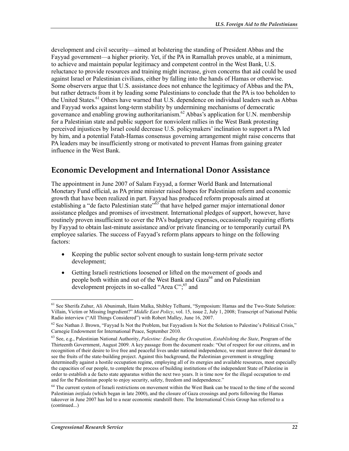development and civil security—aimed at bolstering the standing of President Abbas and the Fayyad government—a higher priority. Yet, if the PA in Ramallah proves unable, at a minimum, to achieve and maintain popular legitimacy and competent control in the West Bank, U.S. reluctance to provide resources and training might increase, given concerns that aid could be used against Israel or Palestinian civilians, either by falling into the hands of Hamas or otherwise. Some observers argue that U.S. assistance does not enhance the legitimacy of Abbas and the PA, but rather detracts from it by leading some Palestinians to conclude that the PA is too beholden to the United States.<sup>61</sup> Others have warned that U.S. dependence on individual leaders such as Abbas and Fayyad works against long-term stability by undermining mechanisms of democratic governance and enabling growing authoritarianism.<sup>62</sup> Abbas's application for U.N. membership for a Palestinian state and public support for nonviolent rallies in the West Bank protesting perceived injustices by Israel could decrease U.S. policymakers' inclination to support a PA led by him, and a potential Fatah-Hamas consensus governing arrangement might raise concerns that PA leaders may be insufficiently strong or motivated to prevent Hamas from gaining greater influence in the West Bank.

#### **Economic Development and International Donor Assistance**

The appointment in June 2007 of Salam Fayyad, a former World Bank and International Monetary Fund official, as PA prime minister raised hopes for Palestinian reform and economic growth that have been realized in part. Fayyad has produced reform proposals aimed at establishing a "de facto Palestinian state"<sup>63</sup> that have helped garner major international donor assistance pledges and promises of investment. International pledges of support, however, have routinely proven insufficient to cover the PA's budgetary expenses, occasionally requiring efforts by Fayyad to obtain last-minute assistance and/or private financing or to temporarily curtail PA employee salaries. The success of Fayyad's reform plans appears to hinge on the following factors:

- Keeping the public sector solvent enough to sustain long-term private sector development;
- Getting Israeli restrictions loosened or lifted on the movement of goods and people both within and out of the West Bank and Gaza<sup>64</sup> and on Palestinian development projects in so-called "Area  $C$ ";  $^{65}$  and

<sup>61</sup> See Sherifa Zuhur, Ali Abunimah, Haim Malka, Shibley Telhami, "Symposium: Hamas and the Two-State Solution: Villain, Victim or Missing Ingredient?" *Middle East Policy*, vol. 15, issue 2, July 1, 2008; Transcript of National Public Radio interview ("All Things Considered") with Robert Malley, June 16, 2007.

<sup>&</sup>lt;sup>62</sup> See Nathan J. Brown, "Fayyad Is Not the Problem, but Fayyadism Is Not the Solution to Palestine's Political Crisis," Carnegie Endowment for International Peace, September 2010.

<sup>63</sup> See, e.g., Palestinian National Authority, *Palestine: Ending the Occupation, Establishing the State*, Program of the Thirteenth Government, August 2009. A key passage from the document reads: "Out of respect for our citizens, and in recognition of their desire to live free and peaceful lives under national independence, we must answer their demand to see the fruits of the state-building project. Against this background, the Palestinian government is struggling determinedly against a hostile occupation regime, employing all of its energies and available resources, most especially the capacities of our people, to complete the process of building institutions of the independent State of Palestine in order to establish a de facto state apparatus within the next two years. It is time now for the illegal occupation to end and for the Palestinian people to enjoy security, safety, freedom and independence."

<sup>&</sup>lt;sup>64</sup> The current system of Israeli restrictions on movement within the West Bank can be traced to the time of the second Palestinian *intifada* (which began in late 2000), and the closure of Gaza crossings and ports following the Hamas takeover in June 2007 has led to a near economic standstill there. The International Crisis Group has referred to a (continued...)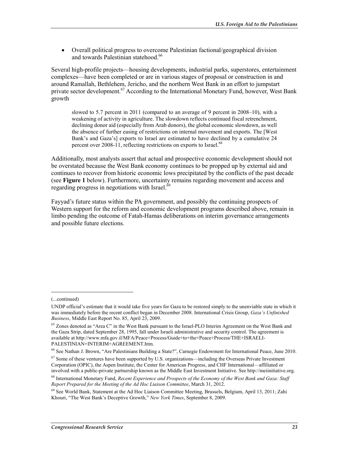• Overall political progress to overcome Palestinian factional/geographical division and towards Palestinian statehood.<sup>66</sup>

Several high-profile projects—housing developments, industrial parks, superstores, entertainment complexes—have been completed or are in various stages of proposal or construction in and around Ramallah, Bethlehem, Jericho, and the northern West Bank in an effort to jumpstart private sector development.<sup>67</sup> According to the International Monetary Fund, however, West Bank growth

slowed to 5.7 percent in 2011 (compared to an average of 9 percent in 2008–10), with a weakening of activity in agriculture. The slowdown reflects continued fiscal retrenchment, declining donor aid (especially from Arab donors), the global economic slowdown, as well the absence of further easing of restrictions on internal movement and exports. The [West Bank's and Gaza's] exports to Israel are estimated to have declined by a cumulative 24 percent over 2008-11, reflecting restrictions on exports to Israel.<sup>68</sup>

Additionally, most analysts assert that actual and prospective economic development should not be overstated because the West Bank economy continues to be propped up by external aid and continues to recover from historic economic lows precipitated by the conflicts of the past decade (see **Figure 1** below). Furthermore, uncertainty remains regarding movement and access and regarding progress in negotiations with Israel.<sup>69</sup>

Fayyad's future status within the PA government, and possibly the continuing prospects of Western support for the reform and economic development programs described above, remain in limbo pending the outcome of Fatah-Hamas deliberations on interim governance arrangements and possible future elections.

 $\overline{\phantom{a}}$ 

<sup>(...</sup>continued)

UNDP official's estimate that it would take five years for Gaza to be restored simply to the unenviable state in which it was immediately before the recent conflict began in December 2008. International Crisis Group, *Gaza's Unfinished Business*, Middle East Report No. 85, April 23, 2009.

<sup>&</sup>lt;sup>65</sup> Zones denoted as "Area C" in the West Bank pursuant to the Israel-PLO Interim Agreement on the West Bank and the Gaza Strip, dated September 28, 1995, fall under Israeli administrative and security control. The agreement is available at http://www.mfa.gov.il/MFA/Peace+Process/Guide+to+the+Peace+Process/THE+ISRAELI-PALESTINIAN+INTERIM+AGREEMENT.htm.

<sup>66</sup> See Nathan J. Brown, "Are Palestinians Building a State?", Carnegie Endowment for International Peace, June 2010.

<sup>&</sup>lt;sup>67</sup> Some of these ventures have been supported by U.S. organizations—including the Overseas Private Investment Corporation (OPIC), the Aspen Institute, the Center for American Progress, and CHF International—affiliated or involved with a public-private partnership known as the Middle East Investment Initiative. See http://meiinitiative.org.

<sup>68</sup> International Monetary Fund, *Recent Experience and Prospects of the Economy of the West Bank and Gaza: Staff Report Prepared for the Meeting of the Ad Hoc Liaison Committee*, March 31, 2012.

<sup>&</sup>lt;sup>69</sup> See World Bank, Statement at the Ad Hoc Liaison Committee Meeting, Brussels, Belgium, April 13, 2011; Zahi Khouri, "The West Bank's Deceptive Growth," *New York Times*, September 8, 2009.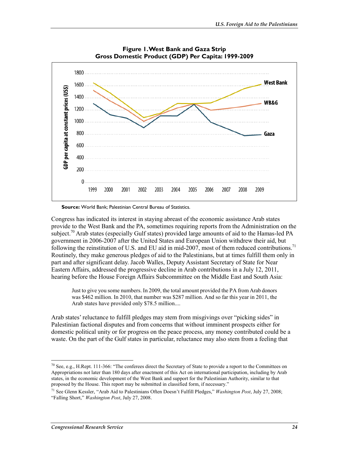

**Figure 1. West Bank and Gaza Strip Gross Domestic Product (GDP) Per Capita: 1999-2009** 

**Source:** World Bank; Palestinian Central Bureau of Statistics.

Congress has indicated its interest in staying abreast of the economic assistance Arab states provide to the West Bank and the PA, sometimes requiring reports from the Administration on the subject.<sup>70</sup> Arab states (especially Gulf states) provided large amounts of aid to the Hamas-led PA government in 2006-2007 after the United States and European Union withdrew their aid, but following the reinstitution of U.S. and EU aid in mid-2007, most of them reduced contributions.<sup>71</sup> Routinely, they make generous pledges of aid to the Palestinians, but at times fulfill them only in part and after significant delay. Jacob Walles, Deputy Assistant Secretary of State for Near Eastern Affairs, addressed the progressive decline in Arab contributions in a July 12, 2011, hearing before the House Foreign Affairs Subcommittee on the Middle East and South Asia:

Just to give you some numbers. In 2009, the total amount provided the PA from Arab donors was \$462 million. In 2010, that number was \$287 million. And so far this year in 2011, the Arab states have provided only \$78.5 million....

Arab states' reluctance to fulfill pledges may stem from misgivings over "picking sides" in Palestinian factional disputes and from concerns that without imminent prospects either for domestic political unity or for progress on the peace process, any money contributed could be a waste. On the part of the Gulf states in particular, reluctance may also stem from a feeling that

 $70$  See, e.g., H.Rept. 111-366: "The conferees direct the Secretary of State to provide a report to the Committees on Appropriations not later than 180 days after enactment of this Act on international participation, including by Arab states, in the economic development of the West Bank and support for the Palestinian Authority, similar to that proposed by the House. This report may be submitted in classified form, if necessary."

<sup>71</sup> See Glenn Kessler, "Arab Aid to Palestinians Often Doesn't Fulfill Pledges," *Washington Post*, July 27, 2008; "Falling Short," *Washington Post*, July 27, 2008.